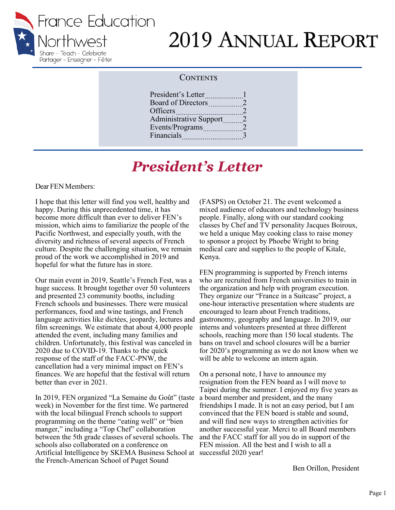

# 2019 ANNUAL REPORT

#### **CONTENTS**

| President's Letter            |                             |
|-------------------------------|-----------------------------|
| Board of Directors            | 2                           |
| Officers                      | 2                           |
| <b>Administrative Support</b> | 2                           |
| Events/Programs               | $\mathcal{D}_{\mathcal{L}}$ |
| Financials                    | 3                           |
|                               |                             |

## *President's Letter*

Dear FEN Members:

I hope that this letter will find you well, healthy and happy. During this unprecedented time, it has become more difficult than ever to deliver FEN's mission, which aims to familiarize the people of the Pacific Northwest, and especially youth, with the diversity and richness of several aspects of French culture. Despite the challenging situation, we remain proud of the work we accomplished in 2019 and hopeful for what the future has in store.

Our main event in 2019, Seattle's French Fest, was a huge success. It brought together over 50 volunteers and presented 23 community booths, including French schools and businesses. There were musical performances, food and wine tastings, and French language activities like dictées, jeopardy, lectures and film screenings. We estimate that about 4,000 people attended the event, including many families and children. Unfortunately, this festival was canceled in 2020 due to COVID-19. Thanks to the quick response of the staff of the FACC-PNW, the cancellation had a very minimal impact on FEN's finances. We are hopeful that the festival will return better than ever in 2021.

In 2019, FEN organized "La Semaine du Goût" (taste week) in November for the first time. We partnered with the local bilingual French schools to support programming on the theme "eating well" or "bien manger," including a "Top Chef" collaboration between the 5th grade classes of several schools. The schools also collaborated on a conference on Artificial Intelligence by SKEMA Business School at successful 2020 year! the French-American School of Puget Sound

(FASPS) on October 21. The event welcomed a mixed audience of educators and technology business people. Finally, along with our standard cooking classes by Chef and TV personality Jacques Boiroux, we held a unique May cooking class to raise money to sponsor a project by Phoebe Wright to bring medical care and supplies to the people of Kitale, Kenya.

FEN programming is supported by French interns who are recruited from French universities to train in the organization and help with program execution. They organize our "France in a Suitcase" project, a one-hour interactive presentation where students are encouraged to learn about French traditions, gastronomy, geography and language. In 2019, our interns and volunteers presented at three different schools, reaching more than 150 local students. The bans on travel and school closures will be a barrier for 2020's programming as we do not know when we will be able to welcome an intern again.

On a personal note, I have to announce my resignation from the FEN board as I will move to Taipei during the summer. I enjoyed my five years as a board member and president, and the many friendships I made. It is not an easy period, but I am convinced that the FEN board is stable and sound, and will find new ways to strengthen activities for another successful year. Merci to all Board members and the FACC staff for all you do in support of the FEN mission. All the best and I wish to all a

Ben Orillon, President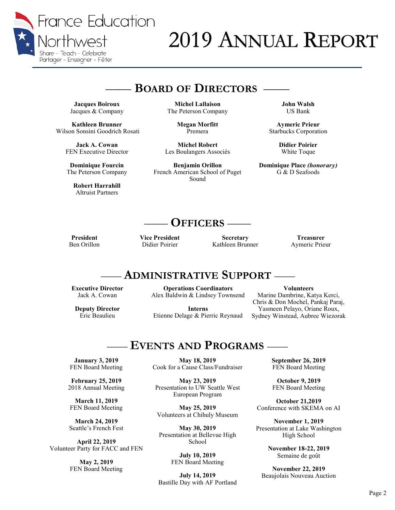

# 2019 ANNUAL REPORT

### —— **BOARD OF DIRECTORS** ——

**Jacques Boiroux** Jacques & Company

**Kathleen Brunner** Wilson Sonsini Goodrich Rosati

> **Jack A. Cowan** FEN Executive Director

**Dominique Fourcin** The Peterson Company

**Robert Harrahill** Altruist Partners

**Michel Lallaison** The Peterson Company

> **Megan Morfitt** Premera

**Michel Robert** Les Boulangers Associés

**Benjamin Orillon**  French American School of Puget Sound

**John Walsh** US Bank

**Aymeric Prieur** Starbucks Corporation

> **Didier Poirier** White Toque

**Dominique Place** *(honorary)* G & D Seafoods

### —— **OFFICERS** ——

**President**  Ben Orillon **Vice President** Didier Poirier

**Secretary** Kathleen Brunner

**Treasurer** Aymeric Prieur

#### —— **ADMINISTRATIVE SUPPORT** ——

**Executive Director** Jack A. Cowan

**Deputy Director** Eric Beaulieu

**Operations Coordinators** Alex Baldwin & Lindsey Townsend

**Interns** Etienne Delage & Pierric Reynaud

**Volunteers** Marine Dambrine, Katya Kerci, Chris & Don Mochel, Pankaj Paraj, Yasmeen Pelayo, Oriane Roux,

Sydney Winstead, Aubree Wiezorak

### —— **EVENTS AND PROGRAMS** ——

**January 3, 2019** FEN Board Meeting

**February 25, 2019** 2018 Annual Meeting

**March 11, 2019** FEN Board Meeting

**March 24, 2019** Seattle's French Fest

**April 22, 2019** Volunteer Party for FACC and FEN

> **May 2, 2019** FEN Board Meeting

**May 18, 2019** Cook for a Cause Class/Fundraiser

**May 23, 2019** Presentation to UW Seattle West European Program

**May 25, 2019** Volunteers at Chihuly Museum

**May 30, 2019** Presentation at Bellevue High School

> **July 10, 2019** FEN Board Meeting

**July 14, 2019** Bastille Day with AF Portland **September 26, 2019** FEN Board Meeting

**October 9, 2019** FEN Board Meeting

**October 21,2019** Conference with SKEMA on AI

**November 1, 2019** Presentation at Lake Washington High School

> **November 18-22, 2019** Semaine de goût

**November 22, 2019** Beaujolais Nouveau Auction